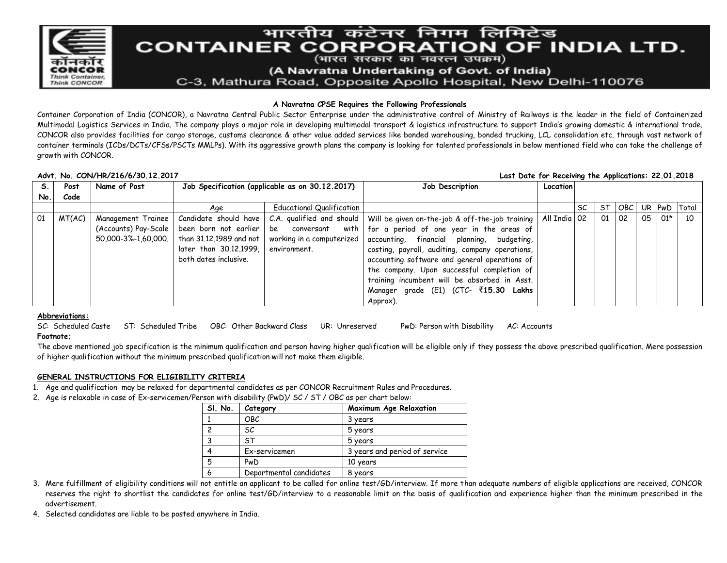

# भारतीय कंटेनर निगम लिमिटेड **CONTAINER CORPORATION OF INDIA LTD.**

(भारत सरकार का नवरत्न उपक्रम)

(A Navratna Undertaking of Govt. of India)

C-3, Mathura Road, Opposite Apollo Hospital, New Delhi-110076

### **A Navratna CPSE Requires the Following Professionals**

Container Corporation of India (CONCOR), a Navratna Central Public Sector Enterprise under the administrative control of Ministry of Railways is the leader in the field of Containerized Multimodal Logistics Services in India. The company plays a major role in developing multimodal transport & logistics infrastructure to support India's growing domestic & international trade. CONCOR also provides facilities for cargo storage, customs clearance & other value added services like bonded warehousing, bonded trucking, LCL consolidation etc. through vast network of container terminals (ICDs/DCTs/CFSs/PSCTs MMLPs). With its aggressive growth plans the company is looking for talented professionals in below mentioned field who can take the challenge of growth with CONCOR.

#### **Advt. No. CON/HR/216/6/30.12.2017 Last Date for Receiving the Applications: 22.01.2018 S. No. Post Code Name of Post Job Specification (applicable as on 30.12.2017) Job Description Location** Age Educational Qualification SC ST OBC UR PwD Total 01 | MT(AC) | Management Trainee (Accounts) Pay-Scale 50,000-3%-1,60,000. Candidate should have been born not earlier than 31.12.1989 and not later than 30.12.1999, both dates inclusive. C.A. qualified and should be conversant with working in a computerized environment. Will be given on-the-job & off-the-job training for a period of one year in the areas of accounting, financial planning, budgeting, costing, payroll, auditing, company operations, accounting software and general operations of the company. Upon successful completion of training incumbent will be absorbed in Asst. Manager grade (E1) (CTC- `**15.30 Lakhs** Approx). All India 02 01 02 02 05 01\* 10

#### **Abbreviations:**

SC: Scheduled Caste ST: Scheduled Tribe OBC: Other Backward Class UR: Unreserved PwD: Person with Disability AC: Accounts **Footnote;**

The above mentioned job specification is the minimum qualification and person having higher qualification will be eligible only if they possess the above prescribed qualification. Mere possession of higher qualification without the minimum prescribed qualification will not make them eligible.

# **GENERAL INSTRUCTIONS FOR ELIGIBILITY CRITERIA**

- 1. Age and qualification may be relaxed for departmental candidates as per CONCOR Recruitment Rules and Procedures.
- 2. Age is relaxable in case of Ex-servicemen/Person with disability (PwD)/ SC / ST / OBC as per chart below:

| SI. No.        | Category                | Maximum Age Relaxation        |
|----------------|-------------------------|-------------------------------|
|                | OBC                     | 3 years                       |
| $\overline{c}$ | SС                      | 5 years                       |
| 3              | .ST                     | 5 years                       |
| 4              | Ex-servicemen           | 3 years and period of service |
| 5              | PwD                     | 10 years                      |
| 6              | Departmental candidates | 8 years                       |

- 3. Mere fulfillment of eligibility conditions will not entitle an applicant to be called for online test/GD/interview. If more than adequate numbers of eligible applications are received, CONCOR reserves the right to shortlist the candidates for online test/GD/interview to a reasonable limit on the basis of qualification and experience higher than the minimum prescribed in the advertisement.
- 4. Selected candidates are liable to be posted anywhere in India.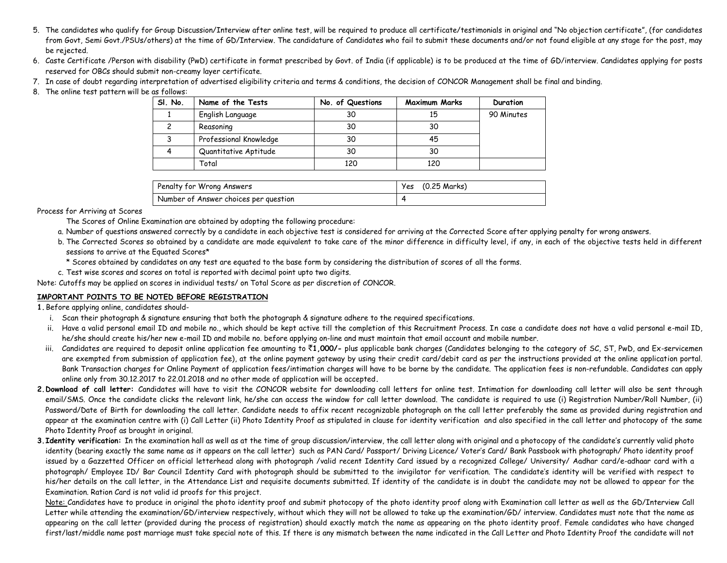- 5. The candidates who qualify for Group Discussion/Interview after online test, will be required to produce all certificate/testimonials in original and "No objection certificate", (for candidates from Govt, Semi Govt./PSUs/others) at the time of GD/Interview. The candidature of Candidates who fail to submit these documents and/or not found eligible at any stage for the post, may be rejected.
- 6. Caste Certificate /Person with disability (PwD) certificate in format prescribed by Govt. of India (if applicable) is to be produced at the time of GD/interview. Candidates applying for posts reserved for OBCs should submit non-creamy layer certificate.
- 7. In case of doubt regarding interpretation of advertised eligibility criteria and terms & conditions, the decision of CONCOR Management shall be final and binding.
- 8. The online test pattern will be as follows:

| SI. No. | Name of the Tests      | No. of Questions | <b>Maximum Marks</b> | Duration   |
|---------|------------------------|------------------|----------------------|------------|
|         | English Language       | 30               | 15                   | 90 Minutes |
|         | Reasoning              | 30               | 30                   |            |
|         | Professional Knowledge | 30               | 45                   |            |
|         | Quantitative Aptitude  | 30               | 30                   |            |
|         | Total                  | 120              | 120                  |            |

| Penalty for Wrong Answers             | Yes (0.25 Marks) |
|---------------------------------------|------------------|
| Number of Answer choices per question |                  |

Process for Arriving at Scores

- The Scores of Online Examination are obtained by adopting the following procedure:
- a. Number of questions answered correctly by a candidate in each objective test is considered for arriving at the Corrected Score after applying penalty for wrong answers.
- b. The Corrected Scores so obtained by a candidate are made equivalent to take care of the minor difference in difficulty level, if any, in each of the objective tests held in different sessions to arrive at the Equated Scores\*
	- \* Scores obtained by candidates on any test are equated to the base form by considering the distribution of scores of all the forms.
- c. Test wise scores and scores on total is reported with decimal point upto two digits.

Note: Cutoffs may be applied on scores in individual tests/ on Total Score as per discretion of CONCOR.

#### **IMPORTANT POINTS TO BE NOTED BEFORE REGISTRATION**

**1.**Before applying online, candidates should-

- i. Scan their photograph & signature ensuring that both the photograph & signature adhere to the required specifications.
- ii. Have a valid personal email ID and mobile no., which should be kept active till the completion of this Recruitment Process. In case a candidate does not have a valid personal e-mail ID, he/she should create his/her new e-mail ID and mobile no. before applying on-line and must maintain that email account and mobile number.
- iii. Candidates are required to deposit online application fee amounting to ₹1,000/- plus applicable bank charges (Candidates belonging to the category of SC, ST, PwD, and Ex-servicemen are exempted from submission of application fee), at the online payment gateway by using their credit card/debit card as per the instructions provided at the online application portal. Bank Transaction charges for Online Payment of application fees/intimation charges will have to be borne by the candidate. The application fees is non-refundable. Candidates can apply online only from 30.12.2017 to 22.01.2018 and no other mode of application will be accepted**.**
- **2.Download of call letter:** Candidates will have to visit the CONCOR website for downloading call letters for online test. Intimation for downloading call letter will also be sent through email/SMS. Once the candidate clicks the relevant link, he/she can access the window for call letter download. The candidate is required to use (i) Registration Number/Roll Number, (ii) Password/Date of Birth for downloading the call letter. Candidate needs to affix recent recognizable photograph on the call letter preferably the same as provided during registration and appear at the examination centre with (i) Call Letter (ii) Photo Identity Proof as stipulated in clause for identity verification and also specified in the call letter and photocopy of the same Photo Identity Proof as brought in original.
- **3.Identity verification:** In the examination hall as well as at the time of group discussion/interview, the call letter along with original and a photocopy of the candidate's currently valid photo identity (bearing exactly the same name as it appears on the call letter) such as PAN Card/ Passport/ Driving Licence/ Voter's Card/ Bank Passbook with photograph/ Photo identity proof issued by a Gazzetted Officer on official letterhead along with photograph /valid recent Identity Card issued by a recognized College/ University/ Aadhar card/e-adhaar card with a photograph/ Employee ID/ Bar Council Identity Card with photograph should be submitted to the invigilator for verification. The candidate's identity will be verified with respect to his/her details on the call letter, in the Attendance List and requisite documents submitted. If identity of the candidate is in doubt the candidate may not be allowed to appear for the Examination. Ration Card is not valid id proofs for this project.

Note: Candidates have to produce in original the photo identity proof and submit photocopy of the photo identity proof along with Examination call letter as well as the GD/Interview Call Letter while attending the examination/GD/interview respectively, without which they will not be allowed to take up the examination/GD/ interview. Candidates must note that the name as appearing on the call letter (provided during the process of registration) should exactly match the name as appearing on the photo identity proof. Female candidates who have changed first/last/middle name post marriage must take special note of this. If there is any mismatch between the name indicated in the Call Letter and Photo Identity Proof the candidate will not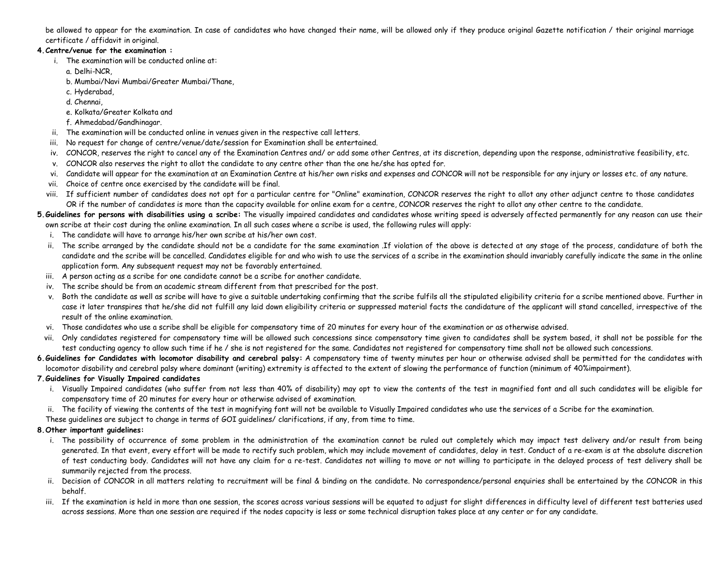be allowed to appear for the examination. In case of candidates who have changed their name, will be allowed only if they produce original Gazette notification / their original marriage certificate / affidavit in original.

### **4.Centre/venue for the examination :**

- i. The examination will be conducted online at:
	- a. Delhi-NCR,
	- b. Mumbai/Navi Mumbai/Greater Mumbai/Thane,
	- c. Hyderabad,
	- d. Chennai,
	- e. Kolkata/Greater Kolkata and
	- f. Ahmedabad/Gandhinagar.
- ii. The examination will be conducted online in venues given in the respective call letters.
- iii. No request for change of centre/venue/date/session for Examination shall be entertained.
- iv. CONCOR, reserves the right to cancel any of the Examination Centres and/ or add some other Centres, at its discretion, depending upon the response, administrative feasibility, etc.
- v. CONCOR also reserves the right to allot the candidate to any centre other than the one he/she has opted for.
- vi. Candidate will appear for the examination at an Examination Centre at his/her own risks and expenses and CONCOR will not be responsible for any injury or losses etc. of any nature.
- vii. Choice of centre once exercised by the candidate will be final.
- viii. If sufficient number of candidates does not opt for a particular centre for "Online" examination, CONCOR reserves the right to allot any other adjunct centre to those candidates OR if the number of candidates is more than the capacity available for online exam for a centre, CONCOR reserves the right to allot any other centre to the candidate.
- **5.Guidelines for persons with disabilities using a scribe:** The visually impaired candidates and candidates whose writing speed is adversely affected permanently for any reason can use their own scribe at their cost during the online examination. In all such cases where a scribe is used, the following rules will apply:
	- i. The candidate will have to arrange his/her own scribe at his/her own cost.
	- ii. The scribe arranged by the candidate should not be a candidate for the same examination .If violation of the above is detected at any stage of the process, candidature of both the candidate and the scribe will be cancelled. Candidates eligible for and who wish to use the services of a scribe in the examination should invariably carefully indicate the same in the online application form. Any subsequent request may not be favorably entertained.
	- iii. A person acting as a scribe for one candidate cannot be a scribe for another candidate.
	- iv. The scribe should be from an academic stream different from that prescribed for the post.
	- v. Both the candidate as well as scribe will have to give a suitable undertaking confirming that the scribe fulfils all the stipulated eligibility criteria for a scribe mentioned above. Further in case it later transpires that he/she did not fulfill any laid down eligibility criteria or suppressed material facts the candidature of the applicant will stand cancelled, irrespective of the result of the online examination.
	- vi. Those candidates who use a scribe shall be eligible for compensatory time of 20 minutes for every hour of the examination or as otherwise advised.
- vii. Only candidates registered for compensatory time will be allowed such concessions since compensatory time given to candidates shall be system based, it shall not be possible for the test conducting agency to allow such time if he / she is not registered for the same. Candidates not registered for compensatory time shall not be allowed such concessions.
- **6.Guidelines for Candidates with locomotor disability and cerebral palsy:** A compensatory time of twenty minutes per hour or otherwise advised shall be permitted for the candidates with locomotor disability and cerebral palsy where dominant (writing) extremity is affected to the extent of slowing the performance of function (minimum of 40%impairment).

# **7.Guidelines for Visually Impaired candidates**

- i. Visually Impaired candidates (who suffer from not less than 40% of disability) may opt to view the contents of the test in magnified font and all such candidates will be eligible for compensatory time of 20 minutes for every hour or otherwise advised of examination.
- ii. The facility of viewing the contents of the test in magnifying font will not be available to Visually Impaired candidates who use the services of a Scribe for the examination.
- These guidelines are subject to change in terms of GOI guidelines/ clarifications, if any, from time to time.

# **8.Other important guidelines:**

- i. The possibility of occurrence of some problem in the administration of the examination cannot be ruled out completely which may impact test delivery and/or result from being generated. In that event, every effort will be made to rectify such problem, which may include movement of candidates, delay in test. Conduct of a re-exam is at the absolute discretion of test conducting body. Candidates will not have any claim for a re-test. Candidates not willing to move or not willing to participate in the delayed process of test delivery shall be summarily rejected from the process.
- ii. Decision of CONCOR in all matters relating to recruitment will be final & binding on the candidate. No correspondence/personal enquiries shall be entertained by the CONCOR in this behalf.
- iii. If the examination is held in more than one session, the scores across various sessions will be equated to adjust for slight differences in difficulty level of different test batteries used across sessions. More than one session are required if the nodes capacity is less or some technical disruption takes place at any center or for any candidate.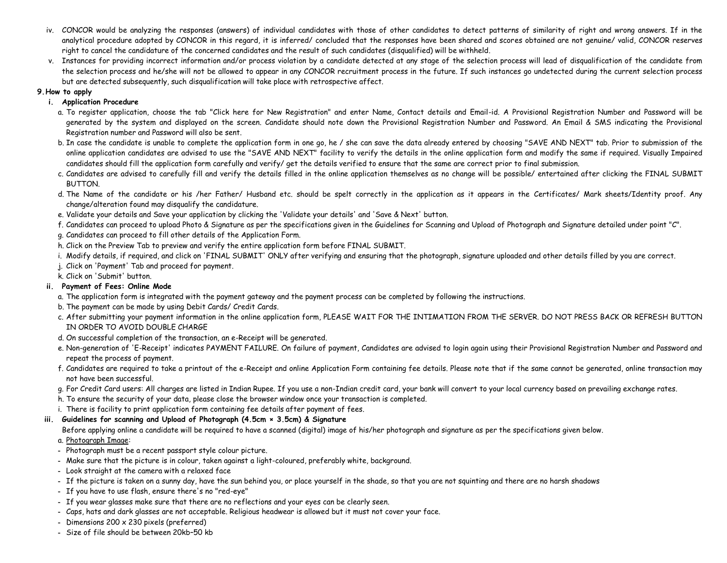- iv. CONCOR would be analyzing the responses (answers) of individual candidates with those of other candidates to detect patterns of similarity of right and wrong answers. If in the analytical procedure adopted by CONCOR in this regard, it is inferred/ concluded that the responses have been shared and scores obtained are not genuine/ valid, CONCOR reserves right to cancel the candidature of the concerned candidates and the result of such candidates (disqualified) will be withheld.
- v. Instances for providing incorrect information and/or process violation by a candidate detected at any stage of the selection process will lead of disqualification of the candidate from the selection process and he/she will not be allowed to appear in any CONCOR recruitment process in the future. If such instances go undetected during the current selection process but are detected subsequently, such disqualification will take place with retrospective affect.

#### **9.How to apply**

### **i. Application Procedure**

- a. To register application, choose the tab "Click here for New Registration" and enter Name, Contact details and Email-id. A Provisional Registration Number and Password will be generated by the system and displayed on the screen. Candidate should note down the Provisional Registration Number and Password. An Email & SMS indicating the Provisional Registration number and Password will also be sent.
- b. In case the candidate is unable to complete the application form in one go, he / she can save the data already entered by choosing "SAVE AND NEXT" tab. Prior to submission of the online application candidates are advised to use the "SAVE AND NEXT" facility to verify the details in the online application form and modify the same if required. Visually Impaired candidates should fill the application form carefully and verify/ get the details verified to ensure that the same are correct prior to final submission.
- c. Candidates are advised to carefully fill and verify the details filled in the online application themselves as no change will be possible/ entertained after clicking the FINAL SUBMIT BUTTON.
- d. The Name of the candidate or his /her Father/ Husband etc. should be spelt correctly in the application as it appears in the Certificates/ Mark sheets/Identity proof. Any change/alteration found may disqualify the candidature.
- e. Validate your details and Save your application by clicking the 'Validate your details' and 'Save & Next' button.
- f. Candidates can proceed to upload Photo & Signature as per the specifications given in the Guidelines for Scanning and Upload of Photograph and Signature detailed under point "C".
- g. Candidates can proceed to fill other details of the Application Form.
- h. Click on the Preview Tab to preview and verify the entire application form before FINAL SUBMIT.
- i. Modify details, if required, and click on 'FINAL SUBMIT' ONLY after verifying and ensuring that the photograph, signature uploaded and other details filled by you are correct.
- j. Click on 'Payment' Tab and proceed for payment.
- k. Click on 'Submit' button.

# **ii. Payment of Fees: Online Mode**

- a. The application form is integrated with the payment gateway and the payment process can be completed by following the instructions.
- b. The payment can be made by using Debit Cards/ Credit Cards.
- c. After submitting your payment information in the online application form, PLEASE WAIT FOR THE INTIMATION FROM THE SERVER. DO NOT PRESS BACK OR REFRESH BUTTON IN ORDER TO AVOID DOUBLE CHARGE
- d. On successful completion of the transaction, an e-Receipt will be generated.
- e. Non-generation of 'E-Receipt' indicates PAYMENT FAILURE. On failure of payment, Candidates are advised to login again using their Provisional Registration Number and Password and repeat the process of payment.
- f. Candidates are required to take a printout of the e-Receipt and online Application Form containing fee details. Please note that if the same cannot be generated, online transaction may not have been successful.
- g. For Credit Card users: All charges are listed in Indian Rupee. If you use a non-Indian credit card, your bank will convert to your local currency based on prevailing exchange rates.
- h. To ensure the security of your data, please close the browser window once your transaction is completed.
- i. There is facility to print application form containing fee details after payment of fees.

# **iii. Guidelines for scanning and Upload of Photograph (4.5cm × 3.5cm) & Signature**

Before applying online a candidate will be required to have a scanned (digital) image of his/her photograph and signature as per the specifications given below.

# a. Photograph Image:

- **-** Photograph must be a recent passport style colour picture.
- **-** Make sure that the picture is in colour, taken against a light-coloured, preferably white, background.
- **-** Look straight at the camera with a relaxed face
- **-** If the picture is taken on a sunny day, have the sun behind you, or place yourself in the shade, so that you are not squinting and there are no harsh shadows
- **-** If you have to use flash, ensure there's no "red-eye"
- **-** If you wear glasses make sure that there are no reflections and your eyes can be clearly seen.
- **-** Caps, hats and dark glasses are not acceptable. Religious headwear is allowed but it must not cover your face.
- **-** Dimensions 200 x 230 pixels (preferred)
- **-** Size of file should be between 20kb–50 kb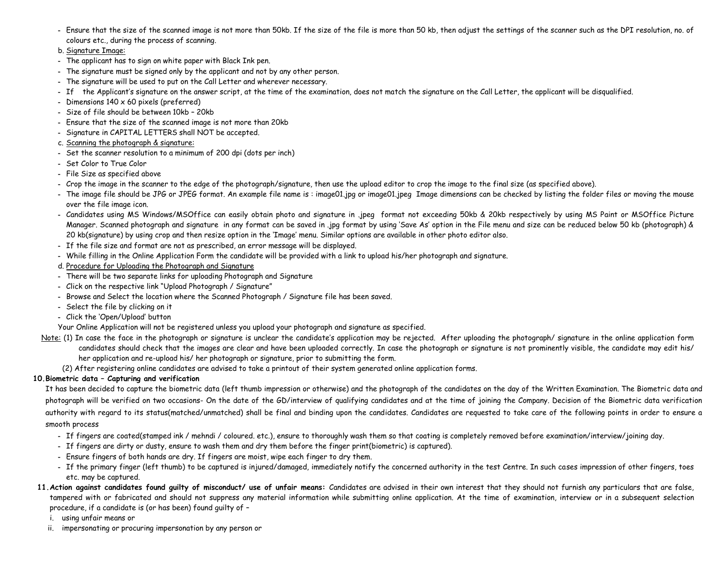- **-** Ensure that the size of the scanned image is not more than 50kb. If the size of the file is more than 50 kb, then adjust the settings of the scanner such as the DPI resolution, no. of colours etc., during the process of scanning.
- b. Signature Image:
- **-** The applicant has to sign on white paper with Black Ink pen.
- **-** The signature must be signed only by the applicant and not by any other person.
- **-** The signature will be used to put on the Call Letter and wherever necessary.
- **-** If the Applicant's signature on the answer script, at the time of the examination, does not match the signature on the Call Letter, the applicant will be disqualified.
- **-** Dimensions 140 x 60 pixels (preferred)
- **-** Size of file should be between 10kb 20kb
- **-** Ensure that the size of the scanned image is not more than 20kb
- **-** Signature in CAPITAL LETTERS shall NOT be accepted.
- c. Scanning the photograph & signature:
- **-** Set the scanner resolution to a minimum of 200 dpi (dots per inch)
- **-** Set Color to True Color
- **-** File Size as specified above
- **-** Crop the image in the scanner to the edge of the photograph/signature, then use the upload editor to crop the image to the final size (as specified above).
- **-** The image file should be JPG or JPEG format. An example file name is : image01.jpg or image01.jpeg Image dimensions can be checked by listing the folder files or moving the mouse over the file image icon.
- **-** Candidates using MS Windows/MSOffice can easily obtain photo and signature in .jpeg format not exceeding 50kb & 20kb respectively by using MS Paint or MSOffice Picture Manager. Scanned photograph and signature in any format can be saved in .jpg format by using 'Save As' option in the File menu and size can be reduced below 50 kb (photograph) & 20 kb(signature) by using crop and then resize option in the 'Image' menu. Similar options are available in other photo editor also.
- **-** If the file size and format are not as prescribed, an error message will be displayed.
- **-** While filling in the Online Application Form the candidate will be provided with a link to upload his/her photograph and signature.
- d. Procedure for Uploading the Photograph and Signature
- **-** There will be two separate links for uploading Photograph and Signature
- **-** Click on the respective link "Upload Photograph / Signature"
- **-** Browse and Select the location where the Scanned Photograph / Signature file has been saved.
- **-** Select the file by clicking on it
- **-** Click the 'Open/Upload' button
- Your Online Application will not be registered unless you upload your photograph and signature as specified.
- Note: (1) In case the face in the photograph or signature is unclear the candidate's application may be rejected. After uploading the photograph/ signature in the online application form candidates should check that the images are clear and have been uploaded correctly. In case the photograph or signature is not prominently visible, the candidate may edit his/ her application and re-upload his/ her photograph or signature, prior to submitting the form.
	- (2) After registering online candidates are advised to take a printout of their system generated online application forms.

# **10.Biometric data – Capturing and verification**

It has been decided to capture the biometric data (left thumb impression or otherwise) and the photograph of the candidates on the day of the Written Examination. The Biometric data and photograph will be verified on two occasions- On the date of the GD/interview of qualifying candidates and at the time of joining the Company. Decision of the Biometric data verification authority with regard to its status(matched/unmatched) shall be final and binding upon the candidates. Candidates are requested to take care of the following points in order to ensure a smooth process

- **-** If fingers are coated(stamped ink / mehndi / coloured. etc.), ensure to thoroughly wash them so that coating is completely removed before examination/interview/joining day.
- **-** If fingers are dirty or dusty, ensure to wash them and dry them before the finger print(biometric) is captured).
- **-** Ensure fingers of both hands are dry. If fingers are moist, wipe each finger to dry them.
- **-** If the primary finger (left thumb) to be captured is injured/damaged, immediately notify the concerned authority in the test Centre. In such cases impression of other fingers, toes etc. may be captured.
- **11.Action against candidates found guilty of misconduct/ use of unfair means:** Candidates are advised in their own interest that they should not furnish any particulars that are false, tampered with or fabricated and should not suppress any material information while submitting online application. At the time of examination, interview or in a subsequent selection procedure, if a candidate is (or has been) found guilty of –
	- i. using unfair means or
	- ii. impersonating or procuring impersonation by any person or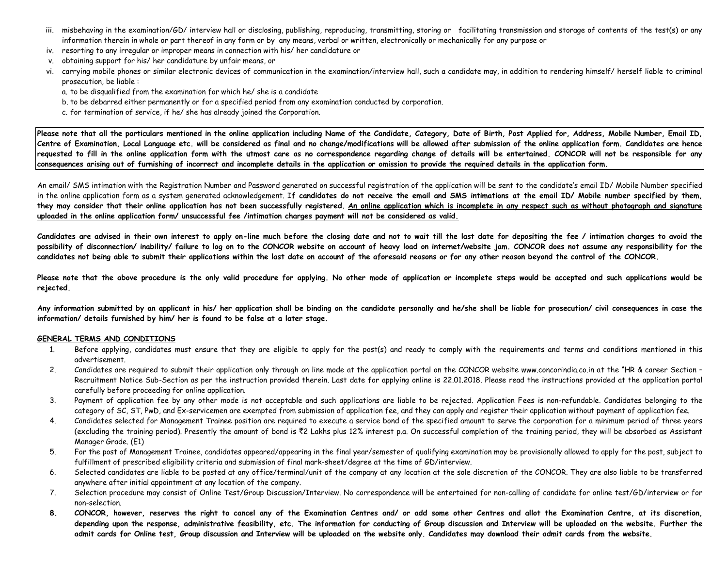- iii. misbehaving in the examination/GD/ interview hall or disclosing, publishing, reproducing, transmitting, storing or facilitating transmission and storage of contents of the test(s) or any information therein in whole or part thereof in any form or by any means, verbal or written, electronically or mechanically for any purpose or
- iv. resorting to any irregular or improper means in connection with his/ her candidature or
- v. obtaining support for his/ her candidature by unfair means, or
- vi. carrying mobile phones or similar electronic devices of communication in the examination/interview hall, such a candidate may, in addition to rendering himself/ herself liable to criminal prosecution, be liable :
	- a. to be disqualified from the examination for which he/ she is a candidate
	- b. to be debarred either permanently or for a specified period from any examination conducted by corporation.
	- c. for termination of service, if he/ she has already joined the Corporation.

Please note that all the particulars mentioned in the online application including Name of the Candidate, Category, Date of Birth, Post Applied for, Address, Mobile Number, Email ID, **Centre of Examination, Local Language etc. will be considered as final and no change/modifications will be allowed after submission of the online application form. Candidates are hence requested to fill in the online application form with the utmost care as no correspondence regarding change of details will be entertained. CONCOR will not be responsible for any consequences arising out of furnishing of incorrect and incomplete details in the application or omission to provide the required details in the application form.** 

An email/ SMS intimation with the Registration Number and Password generated on successful registration of the application will be sent to the candidate's email ID/ Mobile Number specified in the online application form as a system generated acknowledgement. I**f candidates do not receive the email and SMS intimations at the email ID/ Mobile number specified by them, they may consider that their online application has not been successfully registered. An online application which is incomplete in any respect such as without photograph and signature uploaded in the online application form/ unsuccessful fee /intimation charges payment will not be considered as valid.** 

**Candidates are advised in their own interest to apply on-line much before the closing date and not to wait till the last date for depositing the fee / intimation charges to avoid the possibility of disconnection/ inability/ failure to log on to the CONCOR website on account of heavy load on internet/website jam. CONCOR does not assume any responsibility for the candidates not being able to submit their applications within the last date on account of the aforesaid reasons or for any other reason beyond the control of the CONCOR.** 

**Please note that the above procedure is the only valid procedure for applying. No other mode of application or incomplete steps would be accepted and such applications would be rejected.** 

**Any information submitted by an applicant in his/ her application shall be binding on the candidate personally and he/she shall be liable for prosecution/ civil consequences in case the information/ details furnished by him/ her is found to be false at a later stage.**

#### **GENERAL TERMS AND CONDITIONS**

- 1. Before applying, candidates must ensure that they are eligible to apply for the post(s) and ready to comply with the requirements and terms and conditions mentioned in this advertisement.
- 2. Candidates are required to submit their application only through on line mode at the application portal on the CONCOR website www.concorindia.co.in at the "HR & career Section -Recruitment Notice Sub-Section as per the instruction provided therein. Last date for applying online is 22.01.2018. Please read the instructions provided at the application portal carefully before proceeding for online application.
- 3. Payment of application fee by any other mode is not acceptable and such applications are liable to be rejected. Application Fees is non-refundable. Candidates belonging to the category of SC, ST, PwD, and Ex-servicemen are exempted from submission of application fee, and they can apply and register their application without payment of application fee.
- 4. Candidates selected for Management Trainee position are required to execute a service bond of the specified amount to serve the corporation for a minimum period of three years (excluding the training period). Presently the amount of bond is ₹2 Lakhs plus 12% interest p.a. On successful completion of the training period, they will be absorbed as Assistant Manager Grade. (E1)
- 5. For the post of Management Trainee, candidates appeared/appearing in the final year/semester of qualifying examination may be provisionally allowed to apply for the post, subject to fulfillment of prescribed eligibility criteria and submission of final mark-sheet/degree at the time of GD/interview.
- 6. Selected candidates are liable to be posted at any office/terminal/unit of the company at any location at the sole discretion of the CONCOR. They are also liable to be transferred anywhere after initial appointment at any location of the company.
- 7. Selection procedure may consist of Online Test/Group Discussion/Interview. No correspondence will be entertained for non-calling of candidate for online test/GD/interview or for non-selection.
- **8. CONCOR, however, reserves the right to cancel any of the Examination Centres and/ or add some other Centres and allot the Examination Centre, at its discretion, depending upon the response, administrative feasibility, etc. The information for conducting of Group discussion and Interview will be uploaded on the website. Further the admit cards for Online test, Group discussion and Interview will be uploaded on the website only. Candidates may download their admit cards from the website.**